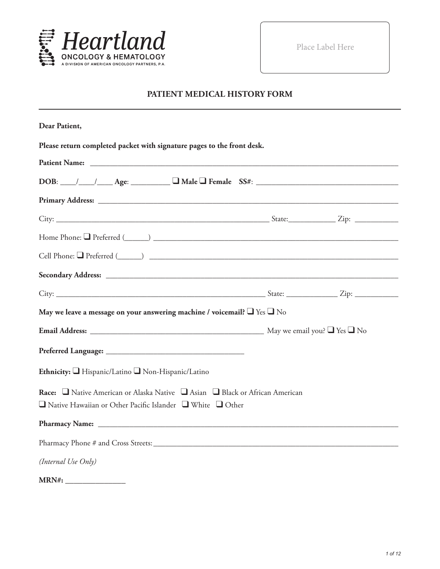

Place Label Here

#### **PATIENT MEDICAL HISTORY FORM**

| Dear Patient,                                                                                                                                              |  |
|------------------------------------------------------------------------------------------------------------------------------------------------------------|--|
| Please return completed packet with signature pages to the front desk.                                                                                     |  |
|                                                                                                                                                            |  |
| $DOB:$ $\_\_\_\_\_\_\_\_\_\_\_\_\_$ Age: $\_\_\_\_\_\_\_\_\_\_\_\_\_\_\_\_\_$ Female $SS#:$ $\_\_\_\_\_\_\_\_\_\_\_\_\_\_\_\_\_\_\_\_\_\_$                 |  |
|                                                                                                                                                            |  |
|                                                                                                                                                            |  |
|                                                                                                                                                            |  |
| Cell Phone: Q Preferred (Call 2014) 2014 2022 2022 2023 2024 2022 2023 2024 2022 2023 2024 2022 2023 2024 2022                                             |  |
|                                                                                                                                                            |  |
|                                                                                                                                                            |  |
| May we leave a message on your answering machine / voicemail? $\Box$ Yes $\Box$ No                                                                         |  |
|                                                                                                                                                            |  |
|                                                                                                                                                            |  |
| Ethnicity: Hispanic/Latino Non-Hispanic/Latino                                                                                                             |  |
| Race: □ Native American or Alaska Native □ Asian □ Black or African American<br>$\Box$ Native Hawaiian or Other Pacific Islander $\Box$ White $\Box$ Other |  |
|                                                                                                                                                            |  |
|                                                                                                                                                            |  |
| (Internal Use Only)                                                                                                                                        |  |
| $\mathbf{X}$                                                                                                                                               |  |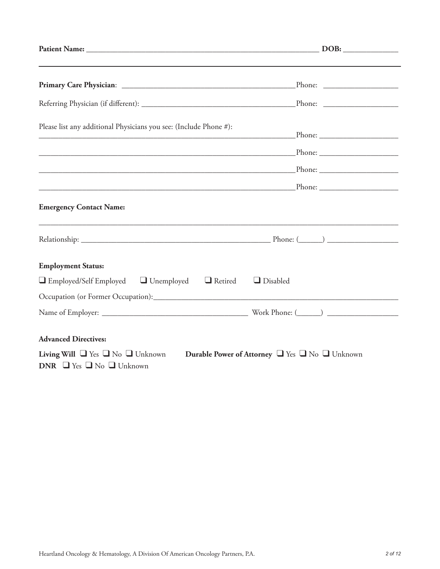| Please list any additional Physicians you see: (Include Phone #):                                                                                 |  |
|---------------------------------------------------------------------------------------------------------------------------------------------------|--|
|                                                                                                                                                   |  |
|                                                                                                                                                   |  |
|                                                                                                                                                   |  |
| <b>Emergency Contact Name:</b>                                                                                                                    |  |
|                                                                                                                                                   |  |
| <b>Employment Status:</b>                                                                                                                         |  |
| $\Box$ Employed/Self Employed $\Box$ Unemployed $\Box$ Retired<br>$\Box$ Disabled                                                                 |  |
|                                                                                                                                                   |  |
|                                                                                                                                                   |  |
| <b>Advanced Directives:</b>                                                                                                                       |  |
| <b>Living Will</b> $\Box$ Yes $\Box$ No $\Box$ Unknown<br>Durable Power of Attorney U Yes U No Unknown<br>DNR $\Box$ Yes $\Box$ No $\Box$ Unknown |  |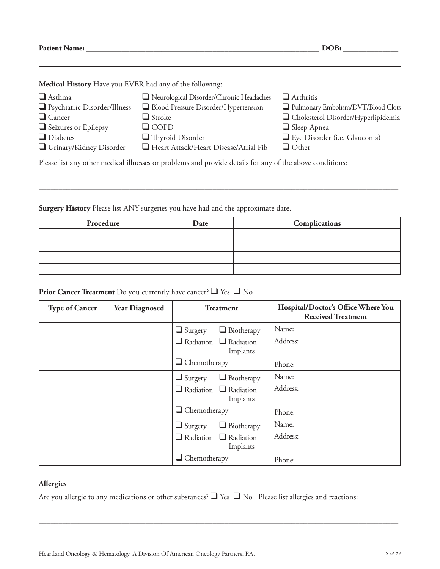**Patient Name: \_\_\_\_\_\_\_\_\_\_\_\_\_\_\_\_\_\_\_\_\_\_\_\_\_\_\_\_\_\_\_\_\_\_\_\_\_\_\_\_\_\_\_\_\_\_\_\_\_\_\_\_\_\_\_\_\_\_\_ DOB: \_\_\_\_\_\_\_\_\_\_\_\_\_\_**

**Medical History** Have you EVER had any of the following:

| $\Box$ Asthma                                                                                            | Neurological Disorder/Chronic Headaches | $\Box$ Arthritis                    |  |
|----------------------------------------------------------------------------------------------------------|-----------------------------------------|-------------------------------------|--|
| Psychiatric Disorder/Illness                                                                             | Blood Pressure Disorder/Hypertension    | Pulmonary Embolism/DVT/Blood Clots  |  |
| $\Box$ Cancer                                                                                            | $\Box$ Stroke                           | Cholesterol Disorder/Hyperlipidemia |  |
| Seizures or Epilepsy                                                                                     | $\Box$ COPD                             | $\Box$ Sleep Apnea                  |  |
| $\Box$ Diabetes                                                                                          | $\Box$ Thyroid Disorder                 | $\Box$ Eye Disorder (i.e. Glaucoma) |  |
| Urinary/Kidney Disorder                                                                                  | Heart Attack/Heart Disease/Atrial Fib   | $\Box$ Other                        |  |
| Please list any other medical illnesses or problems and provide details for any of the above conditions: |                                         |                                     |  |

\_\_\_\_\_\_\_\_\_\_\_\_\_\_\_\_\_\_\_\_\_\_\_\_\_\_\_\_\_\_\_\_\_\_\_\_\_\_\_\_\_\_\_\_\_\_\_\_\_\_\_\_\_\_\_\_\_\_\_\_\_\_\_\_\_\_\_\_\_\_\_\_\_\_\_\_\_\_\_\_\_\_\_\_\_\_\_\_\_\_\_ \_\_\_\_\_\_\_\_\_\_\_\_\_\_\_\_\_\_\_\_\_\_\_\_\_\_\_\_\_\_\_\_\_\_\_\_\_\_\_\_\_\_\_\_\_\_\_\_\_\_\_\_\_\_\_\_\_\_\_\_\_\_\_\_\_\_\_\_\_\_\_\_\_\_\_\_\_\_\_\_\_\_\_\_\_\_\_\_\_\_\_

**Surgery History** Please list ANY surgeries you have had and the approximate date.

| Procedure | Date | Complications |
|-----------|------|---------------|
|           |      |               |
|           |      |               |
|           |      |               |
|           |      |               |

#### **Prior Cancer Treatment** Do you currently have cancer? ❑ Yes ❑ No

| <b>Type of Cancer</b> | <b>Year Diagnosed</b> | <b>Treatment</b>                              | Hospital/Doctor's Office Where You<br><b>Received Treatment</b> |
|-----------------------|-----------------------|-----------------------------------------------|-----------------------------------------------------------------|
|                       |                       | $\Box$ Biotherapy<br>$\Box$ Surgery           | Name:                                                           |
|                       |                       | $\Box$ Radiation $\Box$ Radiation<br>Implants | Address:                                                        |
|                       |                       | $\Box$ Chemotherapy                           | Phone:                                                          |
|                       |                       | $\Box$ Biotherapy<br>$\Box$ Surgery           | Name:                                                           |
|                       |                       | $\Box$ Radiation $\Box$ Radiation<br>Implants | Address:                                                        |
|                       |                       | $\Box$ Chemotherapy                           | Phone:                                                          |
|                       |                       | $\Box$ Biotherapy<br>$\Box$ Surgery           | Name:                                                           |
|                       |                       | $\Box$ Radiation $\Box$ Radiation<br>Implants | Address:                                                        |
|                       |                       | $\Box$ Chemotherapy                           | Phone:                                                          |

#### **Allergies**

Are you allergic to any medications or other substances? ❑ Yes ❑ No Please list allergies and reactions:

\_\_\_\_\_\_\_\_\_\_\_\_\_\_\_\_\_\_\_\_\_\_\_\_\_\_\_\_\_\_\_\_\_\_\_\_\_\_\_\_\_\_\_\_\_\_\_\_\_\_\_\_\_\_\_\_\_\_\_\_\_\_\_\_\_\_\_\_\_\_\_\_\_\_\_\_\_\_\_\_\_\_\_\_\_\_\_\_\_\_\_ \_\_\_\_\_\_\_\_\_\_\_\_\_\_\_\_\_\_\_\_\_\_\_\_\_\_\_\_\_\_\_\_\_\_\_\_\_\_\_\_\_\_\_\_\_\_\_\_\_\_\_\_\_\_\_\_\_\_\_\_\_\_\_\_\_\_\_\_\_\_\_\_\_\_\_\_\_\_\_\_\_\_\_\_\_\_\_\_\_\_\_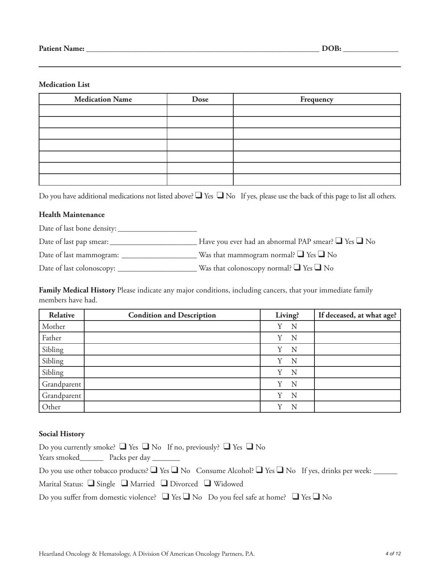#### **Medication List**

| <b>Medication Name</b> | Dose | Frequency |
|------------------------|------|-----------|
|                        |      |           |
|                        |      |           |
|                        |      |           |
|                        |      |           |
|                        |      |           |
|                        |      |           |
|                        |      |           |

Do you have additional medications not listed above?  $\Box$  Yes  $\Box$  No If yes, please use the back of this page to list all others.

#### **Health Maintenance**

Date of last bone density: \_\_\_\_\_\_\_\_\_\_\_\_\_\_\_\_\_\_\_\_

Date of last pap smear: \_\_\_\_\_\_\_\_\_\_\_\_\_\_\_\_\_\_\_\_\_\_ Have you ever had an abnormal PAP smear? ❑ Yes ❑ No

Date of last mammogram: \_\_\_\_\_\_\_\_\_\_\_\_\_\_\_\_\_\_\_ Was that mammogram normal? ❑ Yes ❑ No

Date of last colonoscopy: \_\_\_\_\_\_\_\_\_\_\_\_\_\_\_\_\_\_\_\_ Was that colonoscopy normal? ❑ Yes ❑ No

**Family Medical History** Please indicate any major conditions, including cancers, that your immediate family members have had.

| Relative    | <b>Condition and Description</b> | Living? | If deceased, at what age? |
|-------------|----------------------------------|---------|---------------------------|
| Mother      |                                  | N<br>Y  |                           |
| Father      |                                  | N<br>Y  |                           |
| Sibling     |                                  | Y<br>N  |                           |
| Sibling     |                                  | Y<br>N  |                           |
| Sibling     |                                  | N<br>Y  |                           |
| Grandparent |                                  | N<br>Y  |                           |
| Grandparent |                                  | Y<br>N  |                           |
| Other       |                                  | v<br>N  |                           |

#### **Social History**

| Do you currently smoke? $\Box$ Yes $\Box$ No If no, previously? $\Box$ Yes $\Box$ No                                                                                                                                          |
|-------------------------------------------------------------------------------------------------------------------------------------------------------------------------------------------------------------------------------|
| Years smoked New Packs per day New Years smoked New Years smoked New Years smoked New Years smoked New Years smoked New Years smoked New Years smoked New Years smoked New Years smoked New Years smoked New Years smoked New |
| Do you use other tobacco products? $\Box$ Yes $\Box$ No Consume Alcohol? $\Box$ Yes $\Box$ No If yes, drinks per week: ______                                                                                                 |
| Marital Status: $\Box$ Single $\Box$ Married $\Box$ Divorced $\Box$ Widowed                                                                                                                                                   |
| Do you suffer from domestic violence? $\Box$ Yes $\Box$ No Do you feel safe at home? $\Box$ Yes $\Box$ No                                                                                                                     |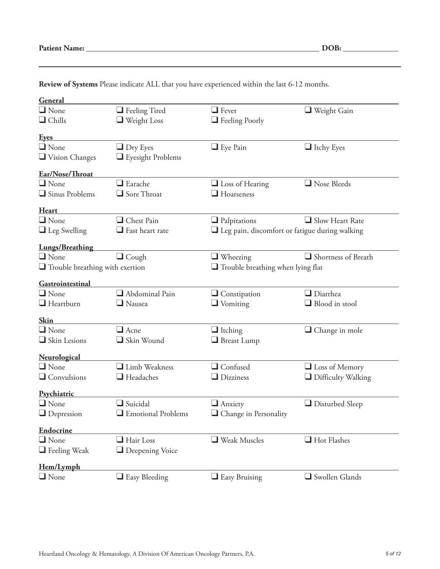| <b>Patient Name:</b> |  |
|----------------------|--|
|----------------------|--|

| General                                |                                            |                                                       |                           |
|----------------------------------------|--------------------------------------------|-------------------------------------------------------|---------------------------|
| $\Box$ None                            | $\Box$ Feeling Tired                       | $\Box$ Fever                                          | $\Box$ Weight Gain        |
| $\Box$ Chills                          | $\Box$ Weight Loss                         | Feeling Poorly                                        |                           |
| <b>Eyes</b>                            |                                            |                                                       |                           |
| $\Box$ None                            | $\Box$ Dry Eyes                            | $\Box$ Eye Pain                                       | $\Box$ Itchy Eyes         |
| $\Box$ Vision Changes                  | $\Box$ Eyesight Problems                   |                                                       |                           |
| Ear/Nose/Throat                        |                                            |                                                       |                           |
| $\Box$ None                            | $\Box$ Earache                             | $\Box$ Loss of Hearing                                | $\Box$ Nose Bleeds        |
| $\Box$ Sinus Problems                  | Sore Throat                                | $\Box$ Hoarseness                                     |                           |
| Heart                                  |                                            |                                                       |                           |
| $\Box$ None                            | Chest Pain                                 | $\Box$ Palpitations                                   | $\Box$ Slow Heart Rate    |
| $\Box$ Leg Swelling                    | $\Box$ Fast heart rate                     | $\Box$ Leg pain, discomfort or fatigue during walking |                           |
| <b>Lungs/Breathing</b>                 |                                            |                                                       |                           |
| $\Box$ None                            | $\Box$ Cough                               | $\Box$ Wheezing                                       | Shortness of Breath       |
| $\Box$ Trouble breathing with exertion |                                            | $\Box$ Trouble breathing when lying flat              |                           |
| Gastrointestinal                       |                                            |                                                       |                           |
| $\Box$ None                            | Abdominal Pain                             | $\Box$ Constipation                                   | $\Box$ Diarrhea           |
| $\Box$ Heartburn                       | $\Box$ Nausea                              | $\Box$ Vomiting                                       | $\Box$ Blood in stool     |
| <b>Skin</b>                            |                                            |                                                       |                           |
| $\Box$ None                            | $\Box$ Acne                                | $\Box$ Itching                                        | $\Box$ Change in mole     |
| $\Box$ Skin Lesions                    | Skin Wound                                 | $\Box$ Breast Lump                                    |                           |
|                                        |                                            |                                                       |                           |
| <b>Neurological</b><br>$\Box$ None     | Limb Weakness                              | Confused                                              | $\Box$ Loss of Memory     |
| $\Box$ Convulsions                     | $\Box$ Headaches                           | $\Box$ Dizziness                                      | $\Box$ Difficulty Walking |
|                                        |                                            |                                                       |                           |
| Psychiatric                            |                                            |                                                       |                           |
| $\Box$ None                            | $\Box$ Suicidal                            | $\Box$ Anxiety                                        | $\Box$ Disturbed Sleep    |
| $\Box$ Depression                      | $\hfill\blacksquare$<br>Emotional Problems | $\hfill\Box$<br>Change in Personality                 |                           |
| <b>Endocrine</b>                       |                                            |                                                       |                           |
| $\Box$ None                            | $\Box$ Hair Loss                           | $\Box$ Weak Muscles                                   | $\Box$ Hot Flashes        |
| $\Box$ Feeling Weak                    | $\Box$ Deepening Voice                     |                                                       |                           |
| Hem/Lymph                              |                                            |                                                       |                           |
| $\Box$ None                            | $\Box$ Easy Bleeding                       | $\Box$ Easy Bruising                                  | Swollen Glands            |

**Review of Systems** Please indicate ALL that you have experienced within the last 6-12 months.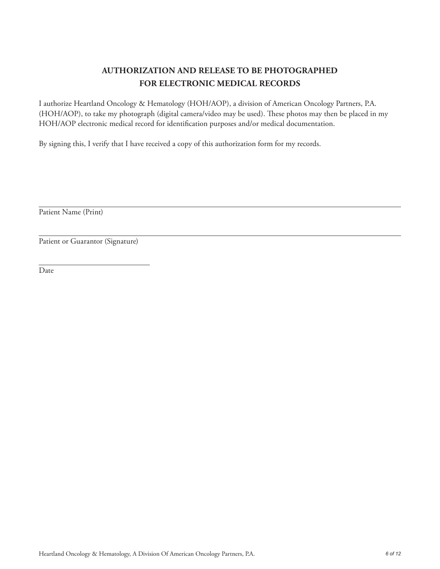### **AUTHORIZATION AND RELEASE TO BE PHOTOGRAPHED FOR ELECTRONIC MEDICAL RECORDS**

I authorize Heartland Oncology & Hematology (HOH/AOP), a division of American Oncology Partners, P.A. (HOH/AOP), to take my photograph (digital camera/video may be used). These photos may then be placed in my HOH/AOP electronic medical record for identification purposes and/or medical documentation.

By signing this, I verify that I have received a copy of this authorization form for my records.

Patient Name (Print)

Patient or Guarantor (Signature)

Date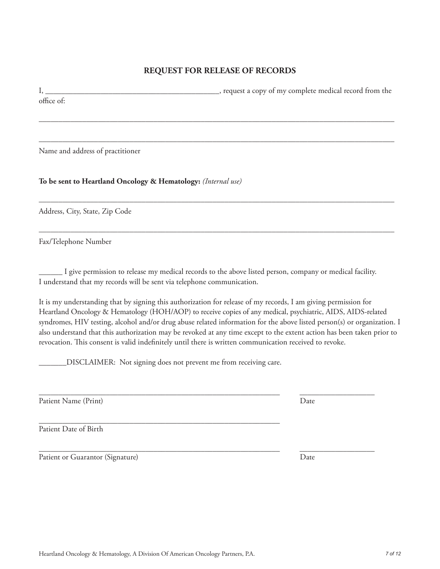#### **REQUEST FOR RELEASE OF RECORDS**

I, \_\_\_\_\_\_\_\_\_\_\_\_\_\_\_\_\_\_\_\_\_\_\_\_\_\_\_\_\_\_\_\_\_\_\_\_\_\_\_\_\_\_\_\_, request a copy of my complete medical record from the office of:

––––––––––––––––––––––––––––––––––––––––––––––––––––––––––––––––––––––––––––––––––––––––––

––––––––––––––––––––––––––––––––––––––––––––––––––––––––––––––––––––––––––––––––––––––––––

––––––––––––––––––––––––––––––––––––––––––––––––––––––––––––––––––––––––––––––––––––––––––

––––––––––––––––––––––––––––––––––––––––––––––––––––––––––––––––––––––––––––––––––––––––––

Name and address of practitioner

**To be sent to Heartland Oncology & Hematology:** *(Internal use)*

Address, City, State, Zip Code

Fax/Telephone Number

\_\_\_\_\_\_ I give permission to release my medical records to the above listed person, company or medical facility. I understand that my records will be sent via telephone communication.

\_\_\_\_\_\_\_\_\_\_\_\_\_\_\_\_\_\_\_\_\_\_\_\_\_\_\_\_\_\_\_\_\_\_\_\_\_\_\_\_\_\_\_\_\_\_\_\_\_\_\_\_\_\_\_\_\_\_\_\_\_ \_\_\_\_\_\_\_\_\_\_\_\_\_\_\_\_\_\_\_

It is my understanding that by signing this authorization for release of my records, I am giving permission for Heartland Oncology & Hematology (HOH/AOP) to receive copies of any medical, psychiatric, AIDS, AIDS-related syndromes, HIV testing, alcohol and/or drug abuse related information for the above listed person(s) or organization. I also understand that this authorization may be revoked at any time except to the extent action has been taken prior to revocation. This consent is valid indefinitely until there is written communication received to revoke.

\_\_\_\_\_\_\_DISCLAIMER: Not signing does not prevent me from receiving care.

Patient Name (Print) Date

\_\_\_\_\_\_\_\_\_\_\_\_\_\_\_\_\_\_\_\_\_\_\_\_\_\_\_\_\_\_\_\_\_\_\_\_\_\_\_\_\_\_\_\_\_\_\_\_\_\_\_\_\_\_\_\_\_\_\_\_\_ Patient Date of Birth

Patient or Guarantor (Signature) Date

\_\_\_\_\_\_\_\_\_\_\_\_\_\_\_\_\_\_\_\_\_\_\_\_\_\_\_\_\_\_\_\_\_\_\_\_\_\_\_\_\_\_\_\_\_\_\_\_\_\_\_\_\_\_\_\_\_\_\_\_\_ \_\_\_\_\_\_\_\_\_\_\_\_\_\_\_\_\_\_\_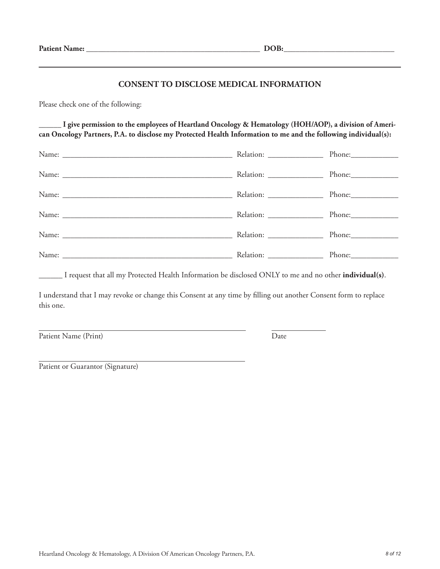#### **CONSENT TO DISCLOSE MEDICAL INFORMATION**

Please check one of the following:

I give permission to the employees of Heartland Oncology & Hematology (HOH/AOP), a division of Ameri**can Oncology Partners, P.A. to disclose my Protected Health Information to me and the following individual(s):**

|  | Phone:     |
|--|------------|
|  |            |
|  |            |
|  |            |
|  | $Phone:\_$ |

\_\_\_\_\_\_ I request that all my Protected Health Information be disclosed ONLY to me and no other **individual(s)**.

I understand that I may revoke or change this Consent at any time by filling out another Consent form to replace this one.

Patient Name (Print) Date

Patient or Guarantor (Signature)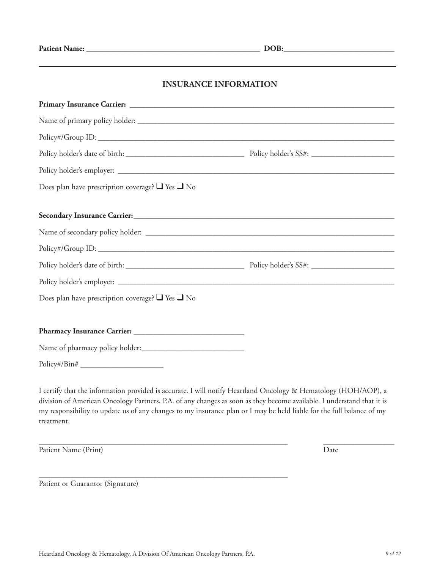#### **INSURANCE INFORMATION**

| Does plan have prescription coverage? $\Box$ Yes $\Box$ No |  |  |
|------------------------------------------------------------|--|--|
|                                                            |  |  |
|                                                            |  |  |
|                                                            |  |  |
|                                                            |  |  |
|                                                            |  |  |
|                                                            |  |  |
| Does plan have prescription coverage? $\Box$ Yes $\Box$ No |  |  |
|                                                            |  |  |
|                                                            |  |  |
|                                                            |  |  |
| $Policy\#/Bin\#$                                           |  |  |

I certify that the information provided is accurate. I will notify Heartland Oncology & Hematology (HOH/AOP), a division of American Oncology Partners, P.A. of any changes as soon as they become available. I understand that it is my responsibility to update us of any changes to my insurance plan or I may be held liable for the full balance of my treatment.

\_\_\_\_\_\_\_\_\_\_\_\_\_\_\_\_\_\_\_\_\_\_\_\_\_\_\_\_\_\_\_\_\_\_\_\_\_\_\_\_\_\_\_\_\_\_\_\_\_\_\_\_\_\_\_\_\_\_\_\_\_\_\_ \_\_\_\_\_\_\_\_\_\_\_\_\_\_\_\_\_\_

Patient Name (Print) Date

Patient or Guarantor (Signature)

\_\_\_\_\_\_\_\_\_\_\_\_\_\_\_\_\_\_\_\_\_\_\_\_\_\_\_\_\_\_\_\_\_\_\_\_\_\_\_\_\_\_\_\_\_\_\_\_\_\_\_\_\_\_\_\_\_\_\_\_\_\_\_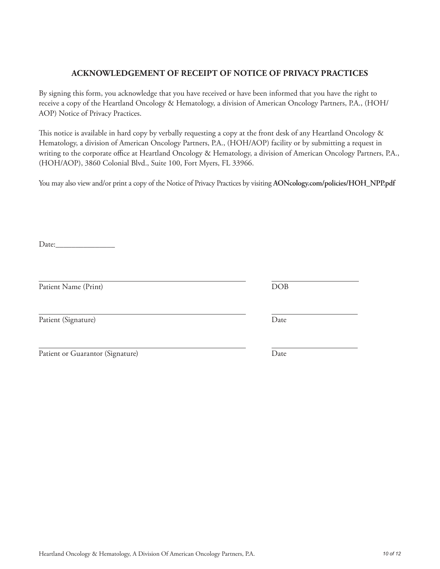## Heartland Oncology & Hematology, A Division Of American Oncology Partners, P.A. *10 of 12*

#### **ACKNOWLEDGEMENT OF RECEIPT OF NOTICE OF PRIVACY PRACTICES**

By signing this form, you acknowledge that you have received or have been informed that you have the right to receive a copy of the Heartland Oncology & Hematology, a division of American Oncology Partners, P.A., (HOH/ AOP) Notice of Privacy Practices.

This notice is available in hard copy by verbally requesting a copy at the front desk of any Heartland Oncology & Hematology, a division of American Oncology Partners, P.A., (HOH/AOP) facility or by submitting a request in writing to the corporate office at Heartland Oncology & Hematology, a division of American Oncology Partners, P.A., (HOH/AOP), 3860 Colonial Blvd., Suite 100, Fort Myers, FL 33966.

You may also view and/or print a copy of the Notice of Privacy Practices by visiting **AONcology.com/policies/HOH\_NPP.pdf**

Date:

Patient Name (Print) DOB

Patient (Signature) Date

| Patient or Guarantor (Signature) |  | Date |
|----------------------------------|--|------|
|                                  |  |      |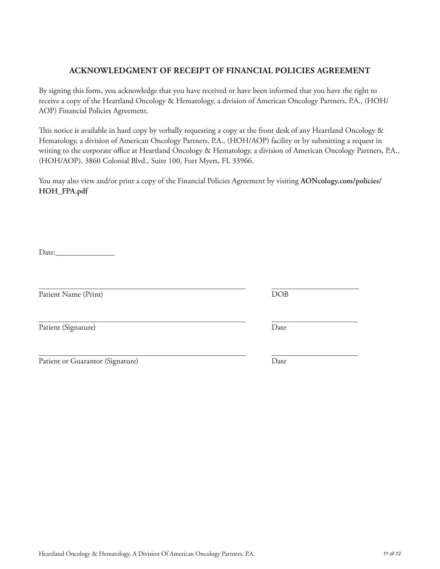# Heartland Oncology & Hematology, A Division Of American Oncology Partners, P.A. *11 of 12*

#### **ACKNOWLEDGMENT OF RECEIPT OF FINANCIAL POLICIES AGREEMENT**

By signing this form, you acknowledge that you have received or have been informed that you have the right to receive a copy of the Heartland Oncology & Hematology, a division of American Oncology Partners, P.A., (HOH/ AOP) Financial Policies Agreement.

This notice is available in hard copy by verbally requesting a copy at the front desk of any Heartland Oncology & Hematology, a division of American Oncology Partners, P.A., (HOH/AOP) facility or by submitting a request in writing to the corporate office at Heartland Oncology & Hematology, a division of American Oncology Partners, P.A., (HOH/AOP), 3860 Colonial Blvd., Suite 100, Fort Myers, FL 33966.

You may also view and/or print a copy of the Financial Policies Agreement by visiting **AONcology.com/policies/ HOH\_FPA.pdf**

Date:\_\_\_\_\_\_\_\_\_\_\_\_\_\_\_

Patient Name (Print) DOB

Patient (Signature) Date

Patient or Guarantor (Signature) Date